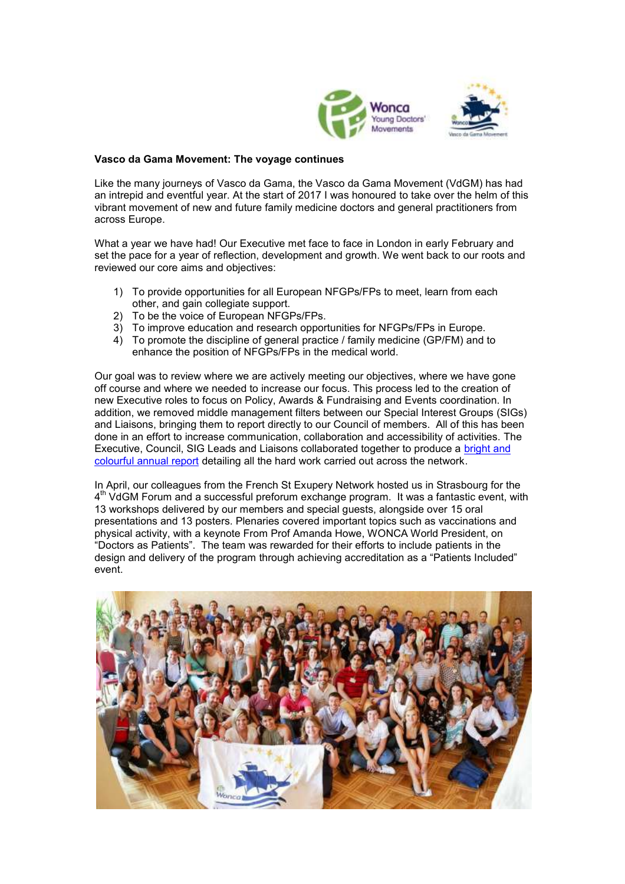



## **Vasco da Gama Movement: The voyage continues**

Like the many journeys of Vasco da Gama, the Vasco da Gama Movement (VdGM) has had an intrepid and eventful year. At the start of 2017 I was honoured to take over the helm of this vibrant movement of new and future family medicine doctors and general practitioners from across Europe.

What a year we have had! Our Executive met face to face in London in early February and set the pace for a year of reflection, development and growth. We went back to our roots and reviewed our core aims and objectives:

- 1) To provide opportunities for all European NFGPs/FPs to meet, learn from each other, and gain collegiate support.
- 2) To be the voice of European NFGPs/FPs.
- 3) To improve education and research opportunities for NFGPs/FPs in Europe.
- 4) To promote the discipline of general practice / family medicine (GP/FM) and to enhance the position of NFGPs/FPs in the medical world.

Our goal was to review where we are actively meeting our objectives, where we have gone off course and where we needed to increase our focus. This process led to the creation of new Executive roles to focus on Policy, Awards & Fundraising and Events coordination. In addition, we removed middle management filters between our Special Interest Groups (SIGs) and Liaisons, bringing them to report directly to our Council of members. All of this has been done in an effort to increase communication, collaboration and accessibility of activities. The Executive, Council, SIG Leads and Liaisons collaborated together to produce a [bright and](http://vdgm.woncaeurope.org/content/official-documents)  [colourful annual report](http://vdgm.woncaeurope.org/content/official-documents) detailing all the hard work carried out across the network.

In April, our colleagues from the French St Exupery Network hosted us in Strasbourg for the 4<sup>th</sup> VdGM Forum and a successful preforum exchange program. It was a fantastic event, with 13 workshops delivered by our members and special guests, alongside over 15 oral presentations and 13 posters. Plenaries covered important topics such as vaccinations and physical activity, with a keynote From Prof Amanda Howe, WONCA World President, on "Doctors as Patients". The team was rewarded for their efforts to include patients in the design and delivery of the program through achieving accreditation as a "Patients Included" event.